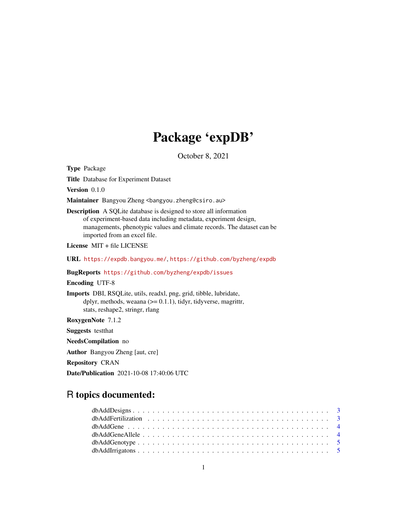# Package 'expDB'

October 8, 2021

Type Package

Title Database for Experiment Dataset

Version 0.1.0

Maintainer Bangyou Zheng <br/>bangyou.zheng@csiro.au>

Description A SQLite database is designed to store all information of experiment-based data including metadata, experiment design, managements, phenotypic values and climate records. The dataset can be imported from an excel file.

License MIT + file LICENSE

URL <https://expdb.bangyou.me/>, <https://github.com/byzheng/expdb>

BugReports <https://github.com/byzheng/expdb/issues>

Encoding UTF-8

Imports DBI, RSQLite, utils, readxl, png, grid, tibble, lubridate, dplyr, methods, weaana  $(>= 0.1.1)$ , tidyr, tidyverse, magrittr, stats, reshape2, stringr, rlang

RoxygenNote 7.1.2

Suggests testthat

NeedsCompilation no

Author Bangyou Zheng [aut, cre]

Repository CRAN

Date/Publication 2021-10-08 17:40:06 UTC

# R topics documented: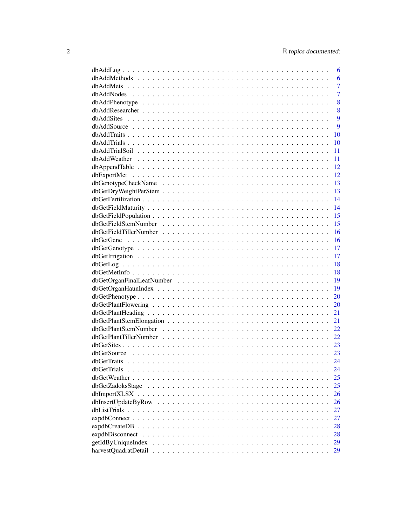|                    | 6              |
|--------------------|----------------|
|                    | 6              |
|                    | $\overline{7}$ |
|                    | $\overline{7}$ |
|                    | 8              |
|                    | 8              |
|                    | 9              |
|                    | 9              |
|                    | 10             |
|                    | 10             |
|                    | 11             |
|                    | 11             |
|                    | 12             |
|                    | 12             |
|                    | 13             |
|                    | 13             |
|                    | 14             |
|                    | 14             |
|                    | 15             |
|                    | 15             |
|                    | 16             |
|                    | 16             |
|                    | 17             |
|                    | 17             |
|                    | 18             |
|                    | 18             |
|                    | 19             |
|                    | 19             |
|                    | 20             |
|                    | 20             |
|                    | 21             |
|                    | 21             |
|                    | 22             |
|                    | 22             |
|                    | 23             |
|                    | 23             |
|                    | 24             |
| dbGetTrials        | 24             |
|                    | 25             |
|                    | 25             |
|                    | 26             |
|                    | 26             |
|                    |                |
|                    | 27             |
|                    | 27             |
|                    | 28             |
|                    | 28             |
| getIdByUniqueIndex | 29             |
|                    | 29             |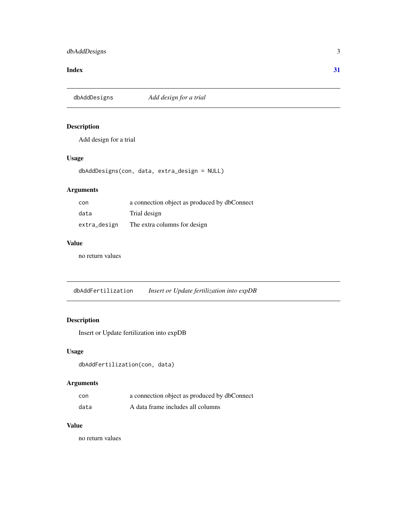#### <span id="page-2-0"></span>**Index** [31](#page-30-0)

dbAddDesigns *Add design for a trial*

#### Description

Add design for a trial

#### Usage

dbAddDesigns(con, data, extra\_design = NULL)

#### Arguments

| con          | a connection object as produced by dbConnect |
|--------------|----------------------------------------------|
| data         | Trial design                                 |
| extra_design | The extra columns for design                 |

# Value

no return values

dbAddFertilization *Insert or Update fertilization into expDB*

#### Description

Insert or Update fertilization into expDB

#### Usage

dbAddFertilization(con, data)

#### Arguments

| con  | a connection object as produced by dbConnect |
|------|----------------------------------------------|
| data | A data frame includes all columns            |

# Value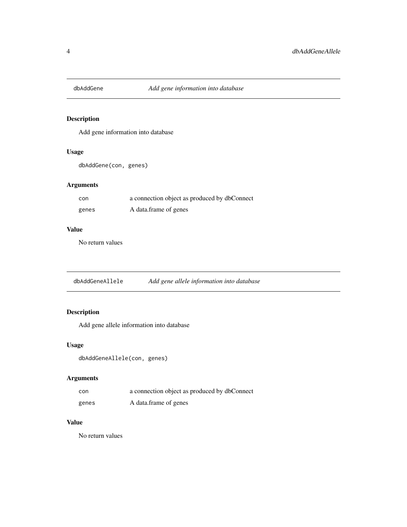<span id="page-3-0"></span>

Add gene information into database

#### Usage

dbAddGene(con, genes)

#### Arguments

| con   | a connection object as produced by dbConnect |
|-------|----------------------------------------------|
| genes | A data frame of genes                        |

### Value

No return values

dbAddGeneAllele *Add gene allele information into database*

# Description

Add gene allele information into database

#### Usage

```
dbAddGeneAllele(con, genes)
```
# Arguments

| con   | a connection object as produced by dbConnect |
|-------|----------------------------------------------|
| genes | A data frame of genes                        |

# Value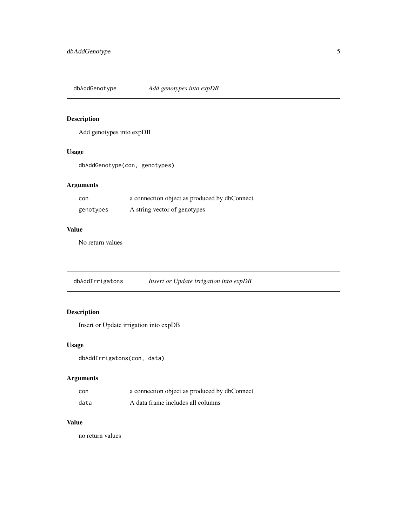<span id="page-4-0"></span>dbAddGenotype *Add genotypes into expDB*

# Description

Add genotypes into expDB

#### Usage

dbAddGenotype(con, genotypes)

#### Arguments

| con       | a connection object as produced by dbConnect |
|-----------|----------------------------------------------|
| genotypes | A string vector of genotypes                 |

#### Value

No return values

dbAddIrrigatons *Insert or Update irrigation into expDB*

# Description

Insert or Update irrigation into expDB

#### Usage

```
dbAddIrrigatons(con, data)
```
# Arguments

| con  | a connection object as produced by dbConnect |
|------|----------------------------------------------|
| data | A data frame includes all columns            |

# Value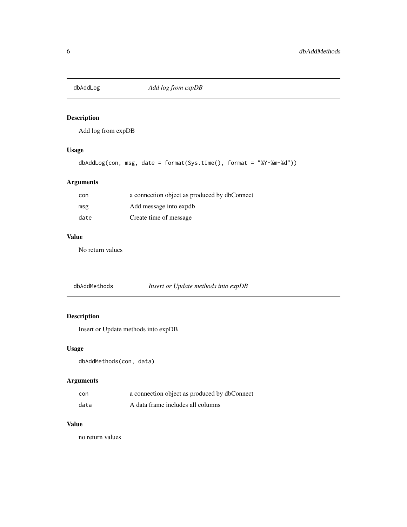<span id="page-5-0"></span>

Add log from expDB

# Usage

```
dbAddLog(con, msg, date = format(Sys.time(), format = "%Y-%m-%d"))
```
#### Arguments

| con  | a connection object as produced by dbConnect |
|------|----------------------------------------------|
| msg  | Add message into expdb                       |
| date | Create time of message                       |

#### Value

No return values

| dbAddMethods | Insert or Update methods into expDB |
|--------------|-------------------------------------|
|--------------|-------------------------------------|

# Description

Insert or Update methods into expDB

# Usage

dbAddMethods(con, data)

# Arguments

| con  | a connection object as produced by dbConnect |
|------|----------------------------------------------|
| data | A data frame includes all columns            |

#### Value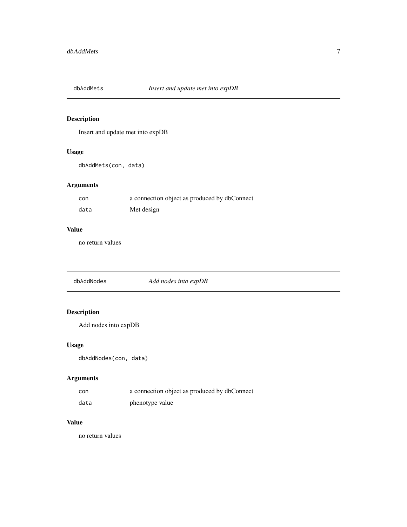<span id="page-6-0"></span>

Insert and update met into expDB

#### Usage

dbAddMets(con, data)

#### Arguments

| con  | a connection object as produced by dbConnect |
|------|----------------------------------------------|
| data | Met design                                   |

#### Value

no return values

dbAddNodes *Add nodes into expDB*

# Description

Add nodes into expDB

# Usage

dbAddNodes(con, data)

# Arguments

| con  | a connection object as produced by dbConnect |
|------|----------------------------------------------|
| data | phenotype value                              |

# Value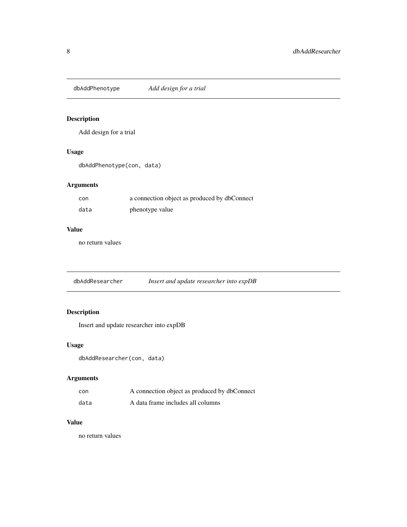<span id="page-7-0"></span>dbAddPhenotype *Add design for a trial*

# Description

Add design for a trial

#### Usage

dbAddPhenotype(con, data)

#### Arguments

| con  | a connection object as produced by dbConnect |
|------|----------------------------------------------|
| data | phenotype value                              |

#### Value

no return values

dbAddResearcher *Insert and update researcher into expDB*

# Description

Insert and update researcher into expDB

#### Usage

```
dbAddResearcher(con, data)
```
# Arguments

| con  | A connection object as produced by dbConnect |
|------|----------------------------------------------|
| data | A data frame includes all columns            |

# Value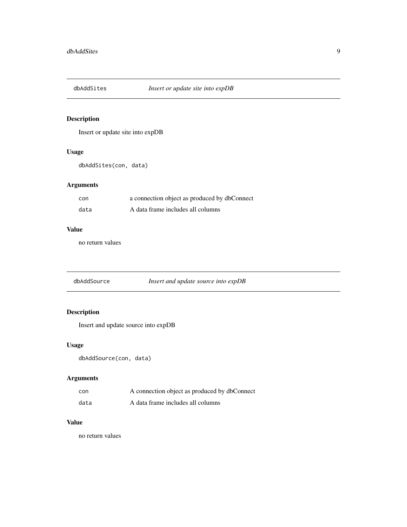<span id="page-8-0"></span>

Insert or update site into expDB

#### Usage

dbAddSites(con, data)

#### Arguments

| con  | a connection object as produced by dbConnect |
|------|----------------------------------------------|
| data | A data frame includes all columns            |

#### Value

no return values

dbAddSource *Insert and update source into expDB*

# Description

Insert and update source into expDB

#### Usage

```
dbAddSource(con, data)
```
# Arguments

| con  | A connection object as produced by dbConnect |
|------|----------------------------------------------|
| data | A data frame includes all columns            |

# Value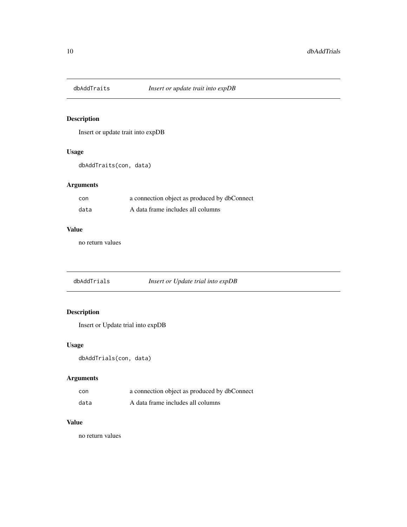<span id="page-9-0"></span>

Insert or update trait into expDB

#### Usage

dbAddTraits(con, data)

#### Arguments

| con  | a connection object as produced by dbConnect |
|------|----------------------------------------------|
| data | A data frame includes all columns            |

#### Value

no return values

dbAddTrials *Insert or Update trial into expDB*

# Description

Insert or Update trial into expDB

#### Usage

```
dbAddTrials(con, data)
```
# Arguments

| con  | a connection object as produced by dbConnect |
|------|----------------------------------------------|
| data | A data frame includes all columns            |

# Value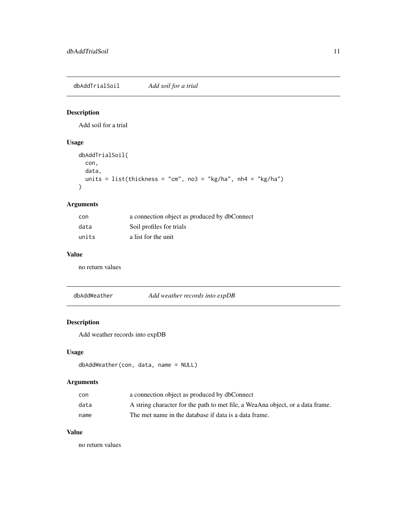<span id="page-10-0"></span>dbAddTrialSoil *Add soil for a trial*

#### Description

Add soil for a trial

# Usage

```
dbAddTrialSoil(
  con,
  data,
  units = list(thickness = "cm", no3 = "kg/ha", nh4 = "kg/ha")
)
```
#### Arguments

| con   | a connection object as produced by dbConnect |
|-------|----------------------------------------------|
| data  | Soil profiles for trials                     |
| units | a list for the unit                          |

#### Value

no return values

dbAddWeather *Add weather records into expDB*

# Description

Add weather records into expDB

#### Usage

```
dbAddWeather(con, data, name = NULL)
```
# Arguments

| con  | a connection object as produced by dbConnect                                   |
|------|--------------------------------------------------------------------------------|
| data | A string character for the path to met file, a WeaAna object, or a data frame. |
| name | The met name in the database if data is a data frame.                          |

# Value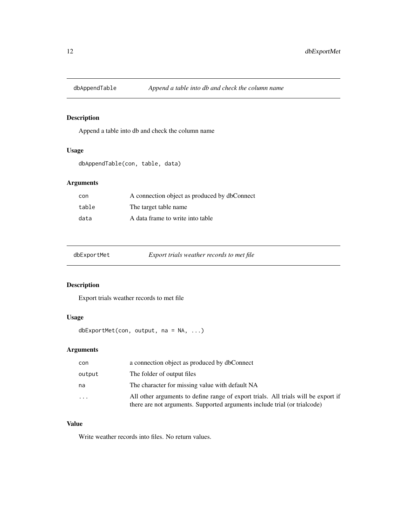<span id="page-11-0"></span>

Append a table into db and check the column name

# Usage

```
dbAppendTable(con, table, data)
```
#### Arguments

| con   | A connection object as produced by dbConnect |
|-------|----------------------------------------------|
| table | The target table name                        |
| data  | A data frame to write into table             |

| dbExportMet | Export trials weather records to met file |
|-------------|-------------------------------------------|

# Description

Export trials weather records to met file

# Usage

```
dbExportMet(con, output, na = NA, ...)
```
# Arguments

| con     | a connection object as produced by dbConnect                                                                                                                    |
|---------|-----------------------------------------------------------------------------------------------------------------------------------------------------------------|
| output  | The folder of output files                                                                                                                                      |
| na      | The character for missing value with default NA                                                                                                                 |
| $\cdot$ | All other arguments to define range of export trials. All trials will be export if<br>there are not arguments. Supported arguments include trial (or trialcode) |

#### Value

Write weather records into files. No return values.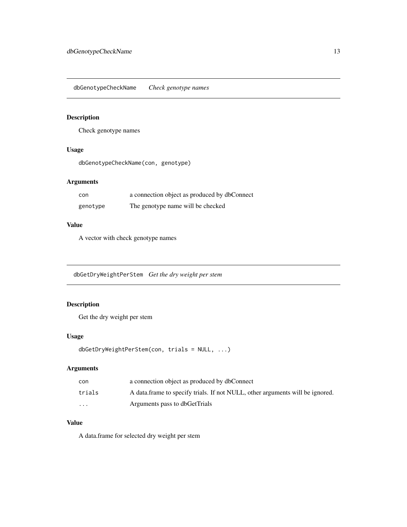<span id="page-12-0"></span>dbGenotypeCheckName *Check genotype names*

# Description

Check genotype names

#### Usage

dbGenotypeCheckName(con, genotype)

#### Arguments

| con      | a connection object as produced by dbConnect |
|----------|----------------------------------------------|
| genotype | The genotype name will be checked            |

#### Value

A vector with check genotype names

dbGetDryWeightPerStem *Get the dry weight per stem*

# Description

Get the dry weight per stem

#### Usage

```
dbGetDryWeightPerStem(con, trials = NULL, ...)
```
# Arguments

| con     | a connection object as produced by dbConnect                                  |
|---------|-------------------------------------------------------------------------------|
| trials  | A data frame to specify trials. If not NULL, other arguments will be ignored. |
| $\cdot$ | Arguments pass to dbGetTrials                                                 |

#### Value

A data.frame for selected dry weight per stem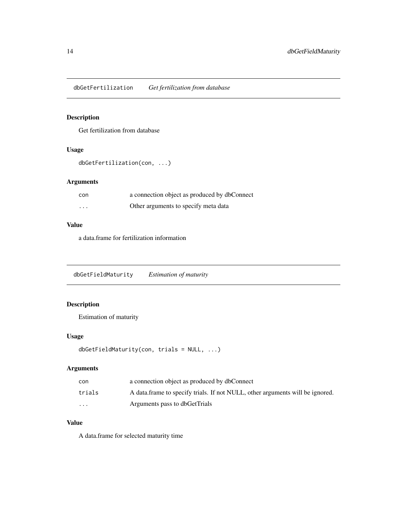<span id="page-13-0"></span>dbGetFertilization *Get fertilization from database*

# Description

Get fertilization from database

#### Usage

```
dbGetFertilization(con, ...)
```
#### Arguments

| con      | a connection object as produced by dbConnect |
|----------|----------------------------------------------|
| $\cdots$ | Other arguments to specify meta data         |

#### Value

a data.frame for fertilization information

```
dbGetFieldMaturity Estimation of maturity
```
# Description

Estimation of maturity

#### Usage

```
dbGetFieldMaturity(con, trials = NULL, ...)
```
#### Arguments

| con     | a connection object as produced by dbConnect                                  |
|---------|-------------------------------------------------------------------------------|
| trials  | A data frame to specify trials. If not NULL, other arguments will be ignored. |
| $\cdot$ | Arguments pass to dbGetTrials                                                 |

#### Value

A data.frame for selected maturity time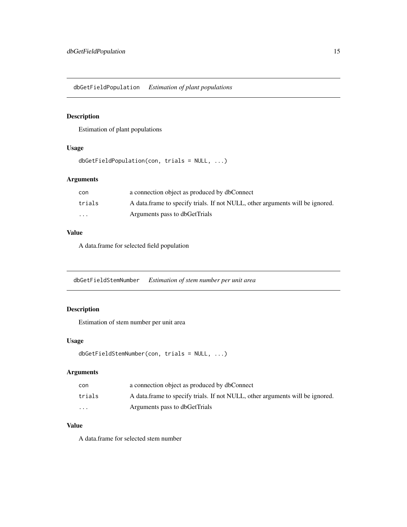<span id="page-14-0"></span>dbGetFieldPopulation *Estimation of plant populations*

#### Description

Estimation of plant populations

#### Usage

```
dbGetFieldPopulation(con, trials = NULL, ...)
```
# Arguments

| con      | a connection object as produced by dbConnect                                  |
|----------|-------------------------------------------------------------------------------|
| trials   | A data frame to specify trials. If not NULL, other arguments will be ignored. |
| $\cdots$ | Arguments pass to dbGetTrials                                                 |

#### Value

A data.frame for selected field population

dbGetFieldStemNumber *Estimation of stem number per unit area*

#### Description

Estimation of stem number per unit area

#### Usage

```
dbGetFieldStemNumber(con, trials = NULL, ...)
```
#### Arguments

| con      | a connection object as produced by dbConnect                                  |
|----------|-------------------------------------------------------------------------------|
| trials   | A data frame to specify trials. If not NULL, other arguments will be ignored. |
| $\cdots$ | Arguments pass to dbGetTrials                                                 |

#### Value

A data.frame for selected stem number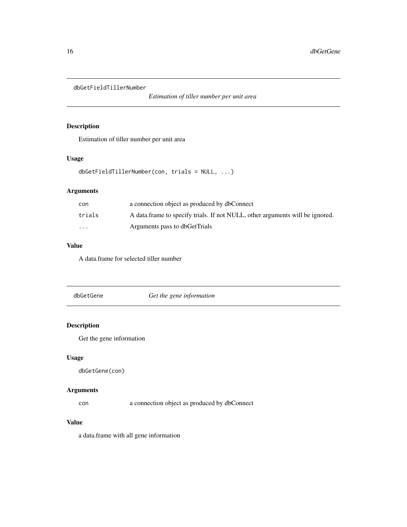<span id="page-15-0"></span>dbGetFieldTillerNumber

*Estimation of tiller number per unit area*

#### Description

Estimation of tiller number per unit area

#### Usage

dbGetFieldTillerNumber(con, trials = NULL, ...)

# Arguments

| con      | a connection object as produced by dbConnect                                  |
|----------|-------------------------------------------------------------------------------|
| trials   | A data frame to specify trials. If not NULL, other arguments will be ignored. |
| $\cdots$ | Arguments pass to dbGetTrials                                                 |

# Value

A data.frame for selected tiller number

dbGetGene *Get the gene information*

# Description

Get the gene information

#### Usage

dbGetGene(con)

## Arguments

con a connection object as produced by dbConnect

### Value

a data.frame with all gene information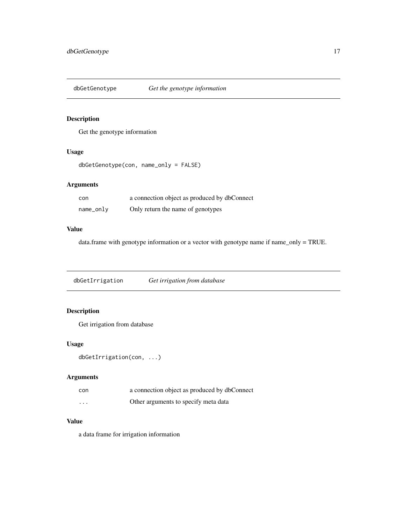<span id="page-16-0"></span>

Get the genotype information

#### Usage

```
dbGetGenotype(con, name_only = FALSE)
```
#### Arguments

| con       | a connection object as produced by dbConnect |
|-----------|----------------------------------------------|
| name_only | Only return the name of genotypes            |

#### Value

data.frame with genotype information or a vector with genotype name if name\_only = TRUE.

dbGetIrrigation *Get irrigation from database*

# Description

Get irrigation from database

#### Usage

```
dbGetIrrigation(con, ...)
```
# Arguments

| con      | a connection object as produced by dbConnect |
|----------|----------------------------------------------|
| $\cdots$ | Other arguments to specify meta data         |

#### Value

a data frame for irrigation information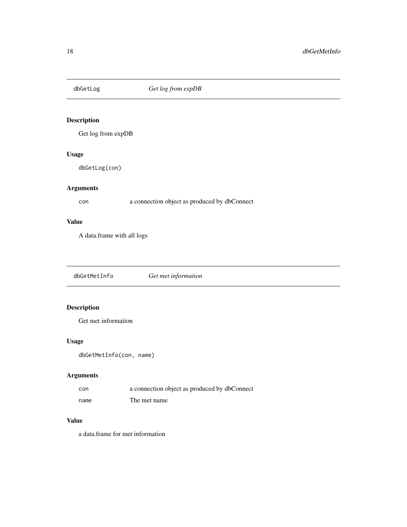<span id="page-17-0"></span>

Get log from expDB

# Usage

dbGetLog(con)

#### Arguments

con a connection object as produced by dbConnect

# Value

A data.frame with all logs

dbGetMetInfo *Get met information*

# Description

Get met information

#### Usage

dbGetMetInfo(con, name)

# Arguments

| con  | a connection object as produced by dbConnect |
|------|----------------------------------------------|
| name | The met name                                 |

#### Value

a data.frame for met information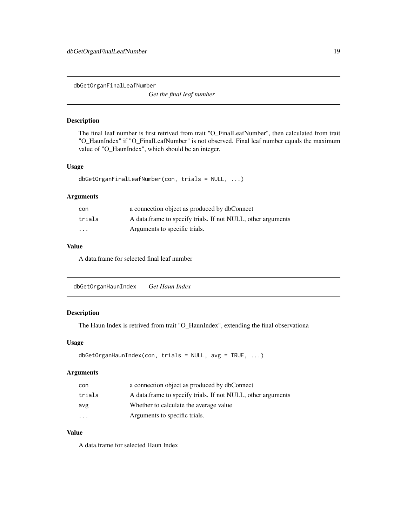<span id="page-18-0"></span>dbGetOrganFinalLeafNumber

*Get the final leaf number*

# Description

The final leaf number is first retrived from trait "O\_FinalLeafNumber", then calculated from trait "O\_HaunIndex" if "O\_FinalLeafNumber" is not observed. Final leaf number equals the maximum value of "O\_HaunIndex", which should be an integer.

#### Usage

```
dbGetOrganFinalLeafNumber(con, trials = NULL, ...)
```
#### Arguments

| con                     | a connection object as produced by dbConnect                 |
|-------------------------|--------------------------------------------------------------|
| trials                  | A data frame to specify trials. If not NULL, other arguments |
| $\cdot$ $\cdot$ $\cdot$ | Arguments to specific trials.                                |

#### Value

A data.frame for selected final leaf number

| Get Haun Index |
|----------------|
|                |

#### Description

The Haun Index is retrived from trait "O\_HaunIndex", extending the final observationa

#### Usage

```
dbGetOrganHaunIndex(con, trials = NULL, avg = TRUE, ...)
```
#### Arguments

| con                     | a connection object as produced by dbConnect                 |
|-------------------------|--------------------------------------------------------------|
| trials                  | A data frame to specify trials. If not NULL, other arguments |
| avg                     | Whether to calculate the average value                       |
| $\cdot$ $\cdot$ $\cdot$ | Arguments to specific trials.                                |

#### Value

A data.frame for selected Haun Index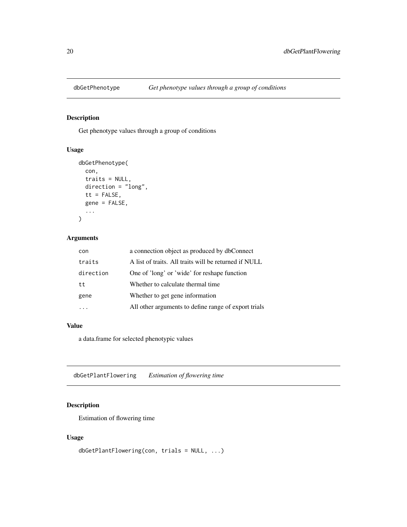<span id="page-19-0"></span>

Get phenotype values through a group of conditions

# Usage

```
dbGetPhenotype(
  con,
  traits = NULL,
 direction = "long",
  tt = FALSE,gene = FALSE,
  ...
)
```
# Arguments

| a connection object as produced by dbConnect          |
|-------------------------------------------------------|
| A list of traits. All traits will be returned if NULL |
| One of 'long' or 'wide' for reshape function          |
| Whether to calculate thermal time                     |
| Whether to get gene information                       |
| All other arguments to define range of export trials  |
|                                                       |

# Value

a data.frame for selected phenotypic values

dbGetPlantFlowering *Estimation of flowering time*

#### Description

Estimation of flowering time

#### Usage

```
dbGetPlantFlowering(con, trials = NULL, ...)
```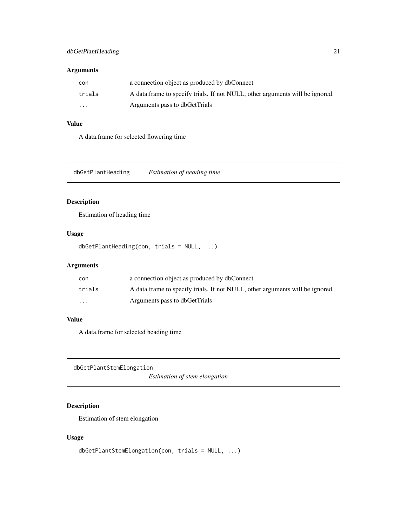# <span id="page-20-0"></span>Arguments

| con      | a connection object as produced by dbConnect                                  |
|----------|-------------------------------------------------------------------------------|
| trials   | A data frame to specify trials. If not NULL, other arguments will be ignored. |
| $\cdots$ | Arguments pass to dbGetTrials                                                 |

#### Value

A data.frame for selected flowering time

dbGetPlantHeading *Estimation of heading time*

#### Description

Estimation of heading time

#### Usage

dbGetPlantHeading(con, trials = NULL, ...)

#### Arguments

| con      | a connection object as produced by dbConnect                                  |
|----------|-------------------------------------------------------------------------------|
| trials   | A data frame to specify trials. If not NULL, other arguments will be ignored. |
| $\cdots$ | Arguments pass to dbGetTrials                                                 |

# Value

A data.frame for selected heading time

dbGetPlantStemElongation

*Estimation of stem elongation*

# Description

Estimation of stem elongation

# Usage

```
dbGetPlantStemElongation(con, trials = NULL, ...)
```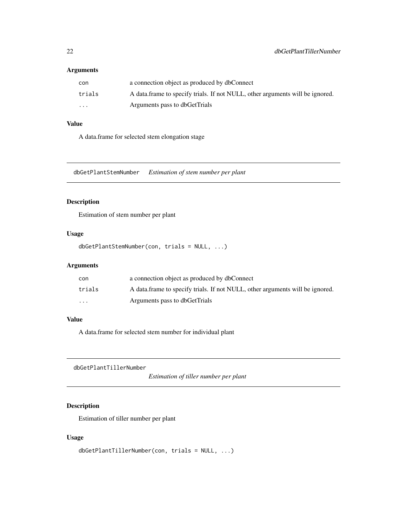#### <span id="page-21-0"></span>Arguments

| con      | a connection object as produced by dbConnect                                  |
|----------|-------------------------------------------------------------------------------|
| trials   | A data frame to specify trials. If not NULL, other arguments will be ignored. |
| $\cdots$ | Arguments pass to dbGetTrials                                                 |

#### Value

A data.frame for selected stem elongation stage

dbGetPlantStemNumber *Estimation of stem number per plant*

#### Description

Estimation of stem number per plant

#### Usage

```
dbGetPlantStemNumber(con, trials = NULL, ...)
```
#### Arguments

| con      | a connection object as produced by dbConnect                                  |
|----------|-------------------------------------------------------------------------------|
| trials   | A data frame to specify trials. If not NULL, other arguments will be ignored. |
| $\cdots$ | Arguments pass to dbGetTrials                                                 |

# Value

A data.frame for selected stem number for individual plant

dbGetPlantTillerNumber

*Estimation of tiller number per plant*

#### Description

Estimation of tiller number per plant

#### Usage

```
dbGetPlantTillerNumber(con, trials = NULL, ...)
```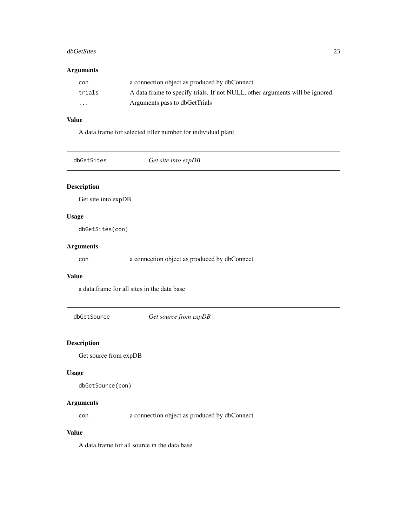#### <span id="page-22-0"></span>dbGetSites 23

#### Arguments

| con      | a connection object as produced by dbConnect                                  |
|----------|-------------------------------------------------------------------------------|
| trials   | A data frame to specify trials. If not NULL, other arguments will be ignored. |
| $\cdots$ | Arguments pass to dbGetTrials                                                 |

#### Value

A data.frame for selected tiller number for individual plant

|  | dbGetSites |
|--|------------|
|  |            |

Get site into expDB

# Description

Get site into expDB

### Usage

dbGetSites(con)

#### Arguments

con a connection object as produced by dbConnect

#### Value

a data.frame for all sites in the data base

dbGetSource *Get source from expDB*

#### Description

Get source from expDB

#### Usage

dbGetSource(con)

#### Arguments

con a connection object as produced by dbConnect

#### Value

A data.frame for all source in the data base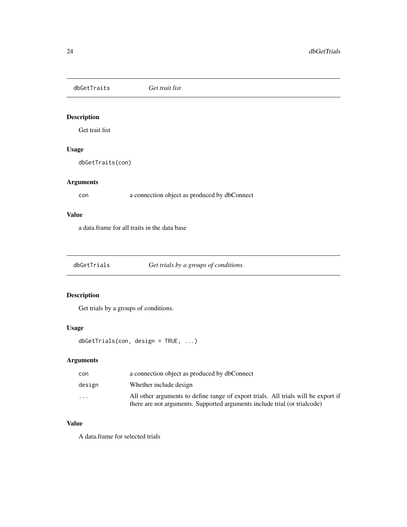<span id="page-23-0"></span>dbGetTraits *Get trait list*

# Description

Get trait list

#### Usage

dbGetTraits(con)

#### Arguments

con a connection object as produced by dbConnect

#### Value

a data.frame for all traits in the data base

dbGetTrials *Get trials by a groups of conditions.*

#### Description

Get trials by a groups of conditions.

#### Usage

dbGetTrials(con, design = TRUE, ...)

#### Arguments

| con     | a connection object as produced by dbConnect                                                                                                                    |
|---------|-----------------------------------------------------------------------------------------------------------------------------------------------------------------|
| design  | Whether include design                                                                                                                                          |
| $\cdot$ | All other arguments to define range of export trials. All trials will be export if<br>there are not arguments. Supported arguments include trial (or trialcode) |

#### Value

A data.frame for selected trials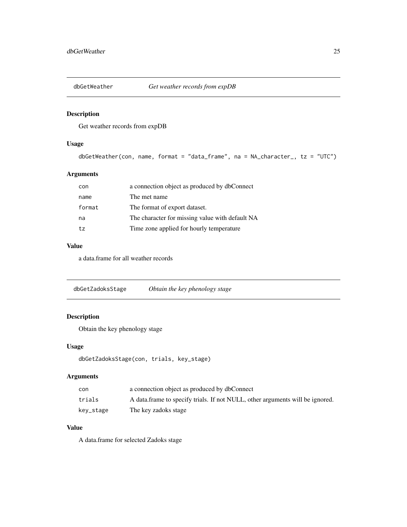<span id="page-24-0"></span>

Get weather records from expDB

#### Usage

```
dbGetWeather(con, name, format = "data_frame", na = NA_character_, tz = "UTC")
```
#### Arguments

| con    | a connection object as produced by dbConnect    |
|--------|-------------------------------------------------|
| name   | The met name                                    |
| format | The format of export dataset.                   |
| na     | The character for missing value with default NA |
| tz     | Time zone applied for hourly temperature        |

### Value

a data.frame for all weather records

dbGetZadoksStage *Obtain the key phenology stage*

#### Description

Obtain the key phenology stage

#### Usage

```
dbGetZadoksStage(con, trials, key_stage)
```
#### Arguments

| con       | a connection object as produced by dbConnect                                  |
|-----------|-------------------------------------------------------------------------------|
| trials    | A data frame to specify trials. If not NULL, other arguments will be ignored. |
| kev_stage | The key zadoks stage                                                          |

#### Value

A data.frame for selected Zadoks stage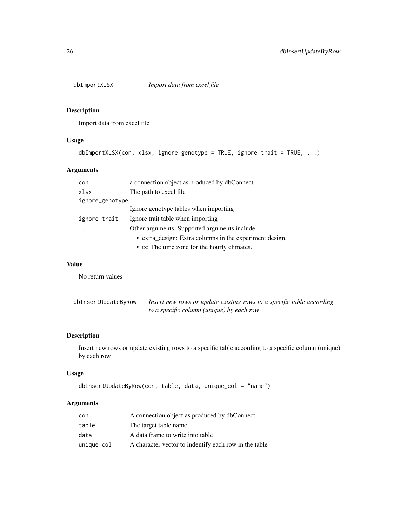<span id="page-25-0"></span>

Import data from excel file

#### Usage

```
dbImportXLSX(con, xlsx, ignore_genotype = TRUE, ignore_trait = TRUE, ...)
```
#### Arguments

| con             | a connection object as produced by dbConnect            |
|-----------------|---------------------------------------------------------|
| xlsx            | The path to excel file                                  |
| ignore_genotype |                                                         |
|                 | Ignore genotype tables when importing                   |
| ignore_trait    | Ignore trait table when importing                       |
|                 | Other arguments. Supported arguments include            |
|                 | • extra_design: Extra columns in the experiment design. |
|                 | • tz: The time zone for the hourly climates.            |

#### Value

No return values

| dbInsertUpdateByRow | Insert new rows or update existing rows to a specific table according |
|---------------------|-----------------------------------------------------------------------|
|                     | to a specific column (unique) by each row                             |

#### Description

Insert new rows or update existing rows to a specific table according to a specific column (unique) by each row

### Usage

```
dbInsertUpdateByRow(con, table, data, unique_col = "name")
```
# Arguments

| con        | A connection object as produced by dbConnect          |
|------------|-------------------------------------------------------|
| table      | The target table name                                 |
| data       | A data frame to write into table                      |
| unique_col | A character vector to indentify each row in the table |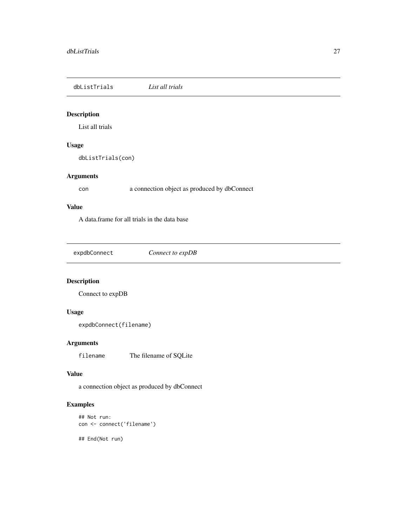<span id="page-26-0"></span>dbListTrials *List all trials*

#### Description

List all trials

#### Usage

dbListTrials(con)

# Arguments

con a connection object as produced by dbConnect

#### Value

A data.frame for all trials in the data base

expdbConnect *Connect to expDB*

#### Description

Connect to expDB

#### Usage

expdbConnect(filename)

#### Arguments

filename The filename of SQLite

### Value

a connection object as produced by dbConnect

#### Examples

```
## Not run:
con <- connect('filename')
```
## End(Not run)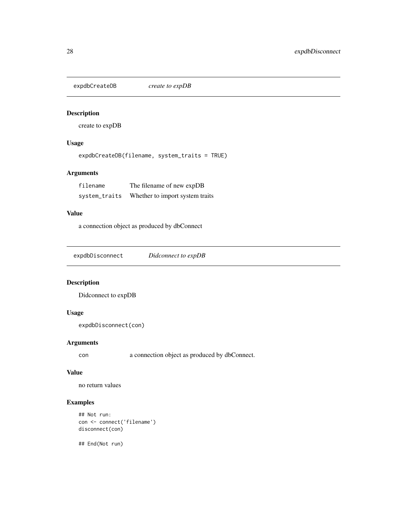<span id="page-27-0"></span>expdbCreateDB *create to expDB*

#### Description

create to expDB

#### Usage

expdbCreateDB(filename, system\_traits = TRUE)

# Arguments

| filename      | The filename of new expDB       |
|---------------|---------------------------------|
| system_traits | Whether to import system traits |

# Value

a connection object as produced by dbConnect

| Didconnect to expDB |  |
|---------------------|--|
|---------------------|--|

#### Description

Didconnect to expDB

#### Usage

```
expdbDisconnect(con)
```
#### Arguments

con a connection object as produced by dbConnect.

#### Value

no return values

#### Examples

```
## Not run:
con <- connect('filename')
disconnect(con)
```
## End(Not run)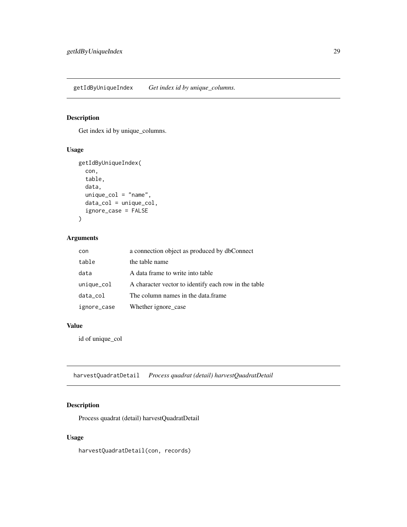<span id="page-28-0"></span>getIdByUniqueIndex *Get index id by unique\_columns.*

#### Description

Get index id by unique\_columns.

# Usage

```
getIdByUniqueIndex(
  con,
  table,
  data,
  unique_col = "name",
  data_col = unique_col,
  ignore_case = FALSE
\mathcal{L}
```
#### Arguments

| con            | a connection object as produced by dbConnect         |
|----------------|------------------------------------------------------|
| table          | the table name                                       |
| data           | A data frame to write into table                     |
| $unique_{col}$ | A character vector to identify each row in the table |
| data_col       | The column names in the data frame                   |
| ignore_case    | Whether ignore_case                                  |

# Value

id of unique\_col

harvestQuadratDetail *Process quadrat (detail) harvestQuadratDetail*

#### Description

Process quadrat (detail) harvestQuadratDetail

#### Usage

harvestQuadratDetail(con, records)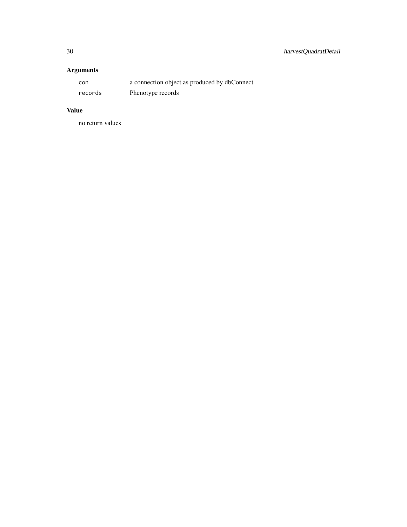# Arguments

| con     | a connection object as produced by dbConnect |
|---------|----------------------------------------------|
| records | Phenotype records                            |

# Value